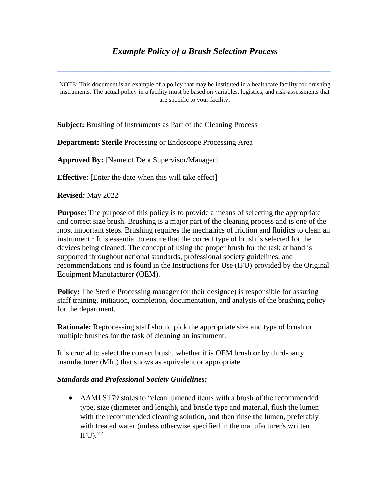# *Example Policy of a Brush Selection Process*

\_\_\_\_\_\_\_\_\_\_\_\_\_\_\_\_\_\_\_\_\_\_\_\_\_\_\_\_\_\_\_\_\_\_\_\_\_\_\_\_\_\_\_\_\_\_\_\_\_\_\_\_\_\_\_\_\_\_\_\_\_\_\_\_\_\_\_\_\_\_\_\_\_\_\_\_\_\_\_\_\_\_\_\_\_\_

NOTE: This document is an example of a policy that may be instituted in a healthcare facility for brushing instruments. The actual policy in a facility must be based on variables, logistics, and risk-assessments that are specific to your facility.

\_\_\_\_\_\_\_\_\_\_\_\_\_\_\_\_\_\_\_\_\_\_\_\_\_\_\_\_\_\_\_\_\_\_\_\_\_\_\_\_\_\_\_\_\_\_\_\_\_\_\_\_\_\_\_\_\_\_\_\_\_\_\_\_\_\_

**Subject:** Brushing of Instruments as Part of the Cleaning Process

**Department: Sterile** Processing or Endoscope Processing Area

**Approved By:** [Name of Dept Supervisor/Manager]

**Effective:** [Enter the date when this will take effect]

**Revised:** May 2022

**Purpose:** The purpose of this policy is to provide a means of selecting the appropriate and correct size brush. Brushing is a major part of the cleaning process and is one of the most important steps. Brushing requires the mechanics of friction and fluidics to clean an instrument.<sup>1</sup> It is essential to ensure that the correct type of brush is selected for the devices being cleaned. The concept of using the proper brush for the task at hand is supported throughout national standards, professional society guidelines, and recommendations and is found in the Instructions for Use (IFU) provided by the Original Equipment Manufacturer (OEM).

**Policy:** The Sterile Processing manager (or their designee) is responsible for assuring staff training, initiation, completion, documentation, and analysis of the brushing policy for the department.

**Rationale:** Reprocessing staff should pick the appropriate size and type of brush or multiple brushes for the task of cleaning an instrument.

It is crucial to select the correct brush, whether it is OEM brush or by third-party manufacturer (Mfr.) that shows as equivalent or appropriate.

#### *Standards and Professional Society Guidelines:*

• AAMI ST79 states to "clean lumened items with a brush of the recommended type, size (diameter and length), and bristle type and material, flush the lumen with the recommended cleaning solution, and then rinse the lumen, preferably with treated water (unless otherwise specified in the manufacturer's written  $IFU$ <sup>2</sup>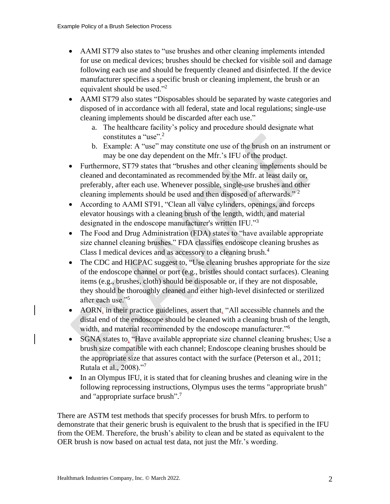- AAMI ST79 also states to "use brushes and other cleaning implements intended for use on medical devices; brushes should be checked for visible soil and damage following each use and should be frequently cleaned and disinfected. If the device manufacturer specifies a specific brush or cleaning implement, the brush or an equivalent should be used."<sup>2</sup>
- AAMI ST79 also states "Disposables should be separated by waste categories and disposed of in accordance with all federal, state and local regulations; single-use cleaning implements should be discarded after each use."
	- a. The healthcare facility's policy and procedure should designate what constitutes a "use".<sup>2</sup>
	- b. Example: A "use" may constitute one use of the brush on an instrument or may be one day dependent on the Mfr.'s IFU of the product.
- Furthermore, ST79 states that "brushes and other cleaning implements should be cleaned and decontaminated as recommended by the Mfr. at least daily or, preferably, after each use. Whenever possible, single-use brushes and other cleaning implements should be used and then disposed of afterwards." <sup>2</sup>
- According to AAMI ST91, "Clean all valve cylinders, openings, and forceps elevator housings with a cleaning brush of the length, width, and material designated in the endoscope manufacturer's written IFU."<sup>3</sup>
- The Food and Drug Administration (FDA) states to "have available appropriate size channel cleaning brushes." FDA classifies endoscope cleaning brushes as Class I medical devices and as accessory to a cleaning brush.<sup>4</sup>
- The CDC and HICPAC suggest to, "Use cleaning brushes appropriate for the size of the endoscope channel or port (e.g., bristles should contact surfaces). Cleaning items (e.g., brushes, cloth) should be disposable or, if they are not disposable, they should be thoroughly cleaned and either high-level disinfected or sterilized after each use."<sup>5</sup>
- AORN, in their practice guidelines, assert that, "All accessible channels and the distal end of the endoscope should be cleaned with a cleaning brush of the length, width, and material recommended by the endoscope manufacturer."<sup>6</sup>
- SGNA states to, "Have available appropriate size channel cleaning brushes; Use a brush size compatible with each channel; Endoscope cleaning brushes should be the appropriate size that assures contact with the surface (Peterson et al., 2011; Rutala et al., 2008)."<sup>7</sup>
- In an Olympus IFU, it is stated that for cleaning brushes and cleaning wire in the following reprocessing instructions, Olympus uses the terms "appropriate brush" and "appropriate surface brush".<sup>7</sup>

There are ASTM test methods that specify processes for brush Mfrs. to perform to demonstrate that their generic brush is equivalent to the brush that is specified in the IFU from the OEM. Therefore, the brush's ability to clean and be stated as equivalent to the OER brush is now based on actual test data, not just the Mfr.'s wording.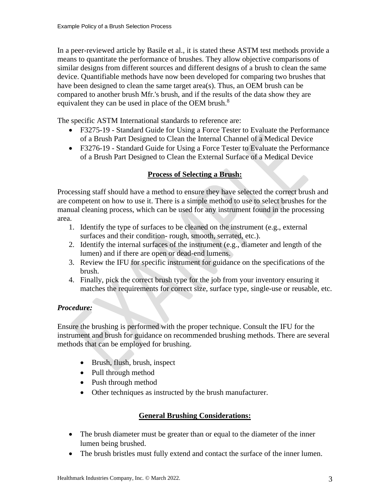In a peer-reviewed article by Basile et al., it is stated these ASTM test methods provide a means to quantitate the performance of brushes. They allow objective comparisons of similar designs from different sources and different designs of a brush to clean the same device. Quantifiable methods have now been developed for comparing two brushes that have been designed to clean the same target area(s). Thus, an OEM brush can be compared to another brush Mfr.'s brush, and if the results of the data show they are equivalent they can be used in place of the OEM brush. $8<sup>8</sup>$ 

The specific ASTM International standards to reference are:

- F3275-19 Standard Guide for Using a Force Tester to Evaluate the Performance of a Brush Part Designed to Clean the Internal Channel of a Medical Device
- F3276-19 Standard Guide for Using a Force Tester to Evaluate the Performance of a Brush Part Designed to Clean the External Surface of a Medical Device

## **Process of Selecting a Brush:**

Processing staff should have a method to ensure they have selected the correct brush and are competent on how to use it. There is a simple method to use to select brushes for the manual cleaning process, which can be used for any instrument found in the processing area.

- 1. Identify the type of surfaces to be cleaned on the instrument (e.g., external surfaces and their condition- rough, smooth, serrated, etc.).
- 2. Identify the internal surfaces of the instrument (e.g., diameter and length of the lumen) and if there are open or dead-end lumens.
- 3. Review the IFU for specific instrument for guidance on the specifications of the brush.
- 4. Finally, pick the correct brush type for the job from your inventory ensuring it matches the requirements for correct size, surface type, single-use or reusable, etc.

## *Procedure:*

Ensure the brushing is performed with the proper technique. Consult the IFU for the instrument and brush for guidance on recommended brushing methods. There are several methods that can be employed for brushing.

- Brush, flush, brush, inspect
- Pull through method
- Push through method
- Other techniques as instructed by the brush manufacturer.

### **General Brushing Considerations:**

- The brush diameter must be greater than or equal to the diameter of the inner lumen being brushed.
- The brush bristles must fully extend and contact the surface of the inner lumen.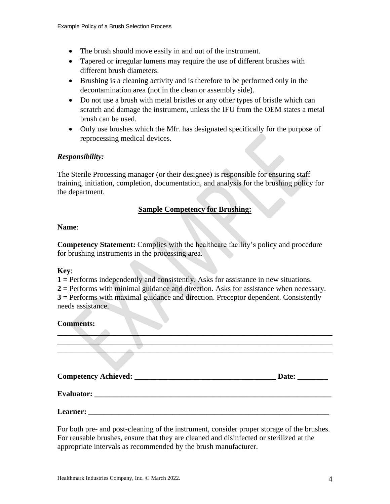- The brush should move easily in and out of the instrument.
- Tapered or irregular lumens may require the use of different brushes with different brush diameters.
- Brushing is a cleaning activity and is therefore to be performed only in the decontamination area (not in the clean or assembly side).
- Do not use a brush with metal bristles or any other types of bristle which can scratch and damage the instrument, unless the IFU from the OEM states a metal brush can be used.
- Only use brushes which the Mfr. has designated specifically for the purpose of reprocessing medical devices.

#### *Responsibility:*

The Sterile Processing manager (or their designee) is responsible for ensuring staff training, initiation, completion, documentation, and analysis for the brushing policy for the department.

### **Sample Competency for Brushing:**

#### **Name**:

**Competency Statement:** Complies with the healthcare facility's policy and procedure for brushing instruments in the processing area.

#### **Key**:

**1 =** Performs independently and consistently. Asks for assistance in new situations.

**2 =** Performs with minimal guidance and direction. Asks for assistance when necessary. **3 =** Performs with maximal guidance and direction. Preceptor dependent. Consistently needs assistance.

#### **Comments:**

|                                   | Date: |
|-----------------------------------|-------|
|                                   |       |
| Learner: $\overline{\phantom{a}}$ |       |

 $\Box$ 

For both pre- and post-cleaning of the instrument, consider proper storage of the brushes. For reusable brushes, ensure that they are cleaned and disinfected or sterilized at the appropriate intervals as recommended by the brush manufacturer.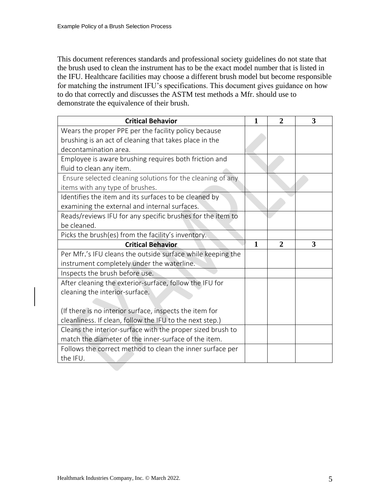This document references standards and professional society guidelines do not state that the brush used to clean the instrument has to be the exact model number that is listed in the IFU. Healthcare facilities may choose a different brush model but become responsible for matching the instrument IFU's specifications. This document gives guidance on how to do that correctly and discusses the ASTM test methods a Mfr. should use to demonstrate the equivalence of their brush.

| <b>Critical Behavior</b>                                    | 1            | $\overline{2}$ | 3 |
|-------------------------------------------------------------|--------------|----------------|---|
| Wears the proper PPE per the facility policy because        |              |                |   |
| brushing is an act of cleaning that takes place in the      |              |                |   |
| decontamination area.                                       |              |                |   |
| Employee is aware brushing requires both friction and       |              |                |   |
| fluid to clean any item.                                    |              |                |   |
| Ensure selected cleaning solutions for the cleaning of any  |              |                |   |
| items with any type of brushes.                             |              |                |   |
| Identifies the item and its surfaces to be cleaned by       |              |                |   |
| examining the external and internal surfaces.               |              |                |   |
| Reads/reviews IFU for any specific brushes for the item to  |              |                |   |
| be cleaned.                                                 |              |                |   |
| Picks the brush(es) from the facility's inventory.          |              |                |   |
|                                                             |              |                |   |
| <b>Critical Behavior</b>                                    | $\mathbf{1}$ | $\overline{2}$ | 3 |
| Per Mfr.'s IFU cleans the outside surface while keeping the |              |                |   |
| instrument completely under the waterline.                  |              |                |   |
| Inspects the brush before use.                              |              |                |   |
| After cleaning the exterior-surface, follow the IFU for     |              |                |   |
| cleaning the interior-surface.                              |              |                |   |
|                                                             |              |                |   |
| (If there is no interior surface, inspects the item for     |              |                |   |
| cleanliness. If clean, follow the IFU to the next step.)    |              |                |   |
| Cleans the interior-surface with the proper sized brush to  |              |                |   |
| match the diameter of the inner-surface of the item.        |              |                |   |
| Follows the correct method to clean the inner surface per   |              |                |   |